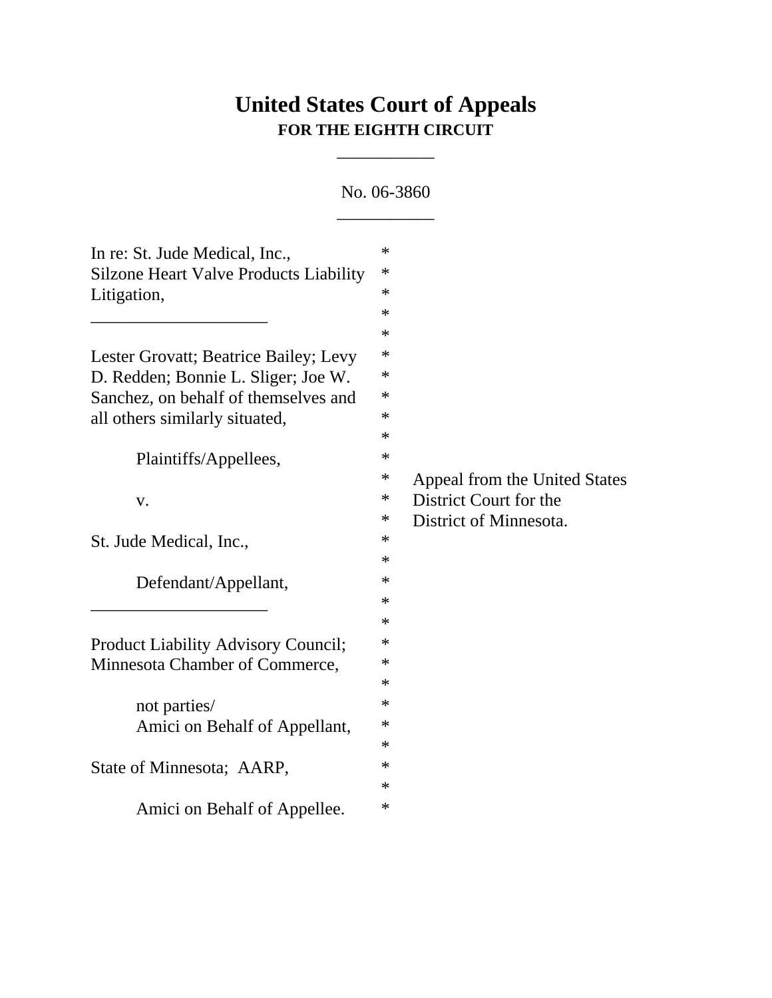## **United States Court of Appeals FOR THE EIGHTH CIRCUIT**

\_\_\_\_\_\_\_\_\_\_\_

No. 06-3860  $\overline{\phantom{a}}$   $\overline{\phantom{a}}$   $\overline{\phantom{a}}$   $\overline{\phantom{a}}$   $\overline{\phantom{a}}$   $\overline{\phantom{a}}$   $\overline{\phantom{a}}$   $\overline{\phantom{a}}$   $\overline{\phantom{a}}$   $\overline{\phantom{a}}$   $\overline{\phantom{a}}$   $\overline{\phantom{a}}$   $\overline{\phantom{a}}$   $\overline{\phantom{a}}$   $\overline{\phantom{a}}$   $\overline{\phantom{a}}$   $\overline{\phantom{a}}$   $\overline{\phantom{a}}$   $\overline{\$ 

| In re: St. Jude Medical, Inc.,                | $\ast$ |                               |
|-----------------------------------------------|--------|-------------------------------|
| <b>Silzone Heart Valve Products Liability</b> | $\ast$ |                               |
| Litigation,                                   | $\ast$ |                               |
|                                               | $\ast$ |                               |
|                                               | $\ast$ |                               |
| Lester Grovatt; Beatrice Bailey; Levy         | $\ast$ |                               |
| D. Redden; Bonnie L. Sliger; Joe W.           | $\ast$ |                               |
| Sanchez, on behalf of themselves and          | ∗      |                               |
| all others similarly situated,                | $\ast$ |                               |
|                                               | $\ast$ |                               |
| Plaintiffs/Appellees,                         | $\ast$ |                               |
|                                               | $\ast$ | Appeal from the United States |
| V.                                            | $\ast$ | District Court for the        |
|                                               | $\ast$ | District of Minnesota.        |
| St. Jude Medical, Inc.,                       | $\ast$ |                               |
|                                               | $\ast$ |                               |
| Defendant/Appellant,                          | $\ast$ |                               |
|                                               | $\ast$ |                               |
|                                               | $\ast$ |                               |
| Product Liability Advisory Council;           | $\ast$ |                               |
| Minnesota Chamber of Commerce,                | $\ast$ |                               |
|                                               | $\ast$ |                               |
| not parties/                                  | $\ast$ |                               |
| Amici on Behalf of Appellant,                 | $\ast$ |                               |
|                                               | $\ast$ |                               |
| State of Minnesota; AARP,                     | $\ast$ |                               |
|                                               | $\ast$ |                               |
| Amici on Behalf of Appellee.                  | $\ast$ |                               |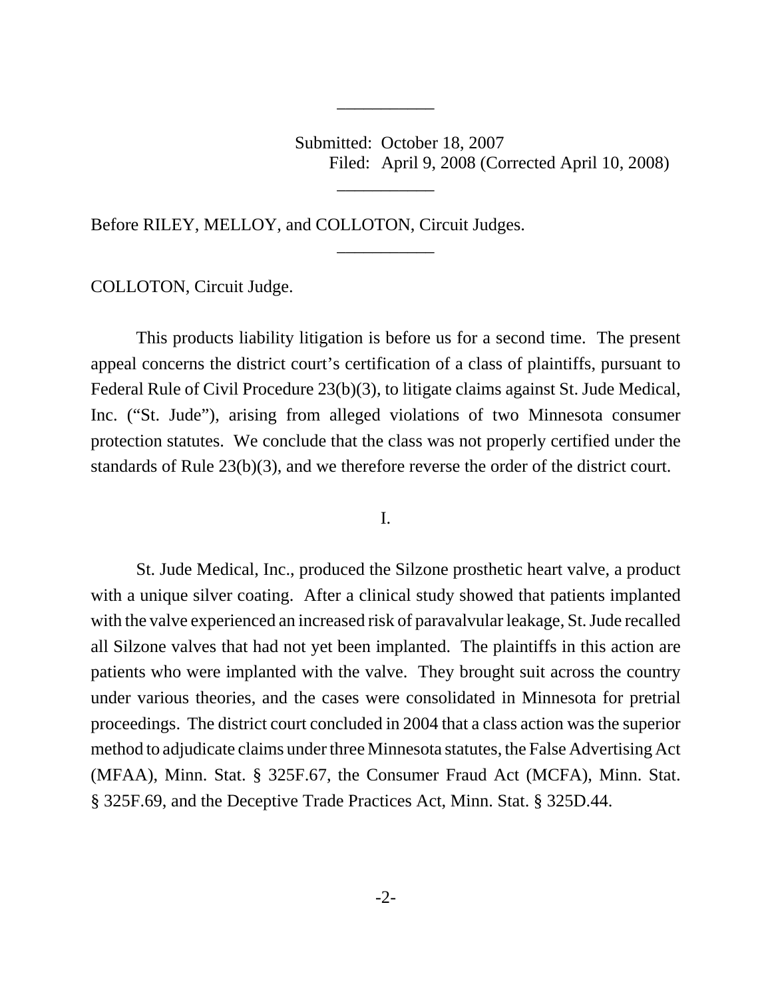Submitted: October 18, 2007 Filed: April 9, 2008 (Corrected April 10, 2008)

Before RILEY, MELLOY, and COLLOTON, Circuit Judges.

COLLOTON, Circuit Judge.

This products liability litigation is before us for a second time. The present appeal concerns the district court's certification of a class of plaintiffs, pursuant to Federal Rule of Civil Procedure 23(b)(3), to litigate claims against St. Jude Medical, Inc. ("St. Jude"), arising from alleged violations of two Minnesota consumer protection statutes. We conclude that the class was not properly certified under the standards of Rule 23(b)(3), and we therefore reverse the order of the district court.

\_\_\_\_\_\_\_\_\_\_\_

\_\_\_\_\_\_\_\_\_\_\_

\_\_\_\_\_\_\_\_\_\_\_

## I.

St. Jude Medical, Inc., produced the Silzone prosthetic heart valve, a product with a unique silver coating. After a clinical study showed that patients implanted with the valve experienced an increased risk of paravalvular leakage, St. Jude recalled all Silzone valves that had not yet been implanted. The plaintiffs in this action are patients who were implanted with the valve. They brought suit across the country under various theories, and the cases were consolidated in Minnesota for pretrial proceedings. The district court concluded in 2004 that a class action was the superior method to adjudicate claims under three Minnesota statutes, the False Advertising Act (MFAA), Minn. Stat. § 325F.67, the Consumer Fraud Act (MCFA), Minn. Stat. § 325F.69, and the Deceptive Trade Practices Act, Minn. Stat. § 325D.44.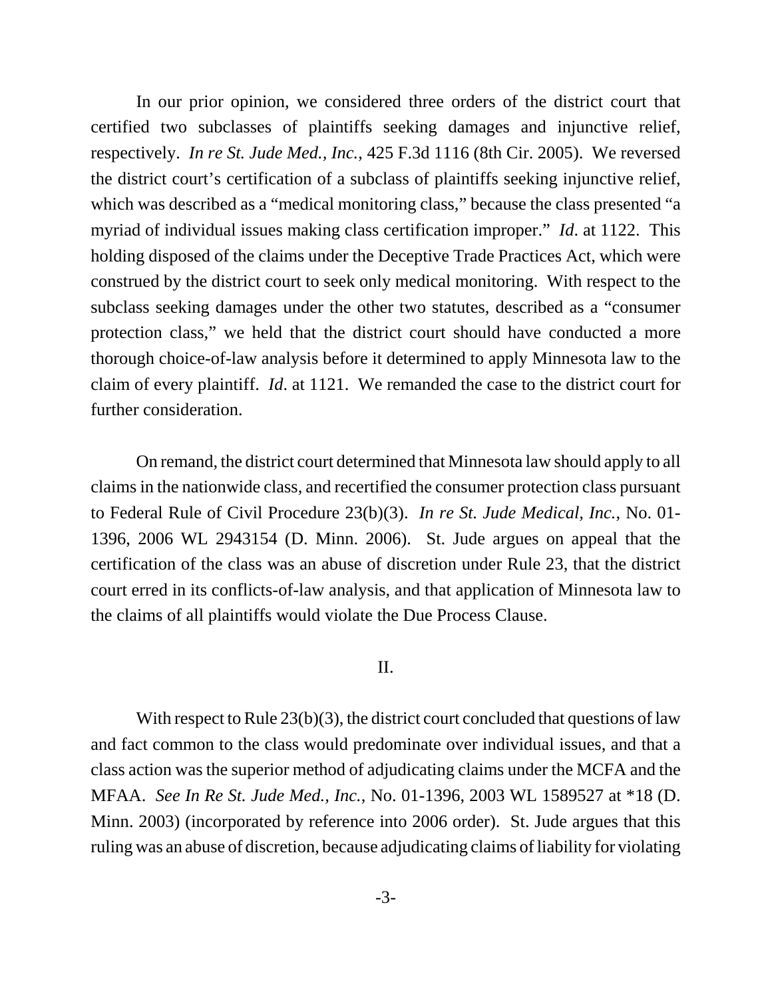In our prior opinion, we considered three orders of the district court that certified two subclasses of plaintiffs seeking damages and injunctive relief, respectively. *In re St. Jude Med., Inc.*, 425 F.3d 1116 (8th Cir. 2005). We reversed the district court's certification of a subclass of plaintiffs seeking injunctive relief, which was described as a "medical monitoring class," because the class presented "a myriad of individual issues making class certification improper." *Id*. at 1122. This holding disposed of the claims under the Deceptive Trade Practices Act, which were construed by the district court to seek only medical monitoring. With respect to the subclass seeking damages under the other two statutes, described as a "consumer protection class," we held that the district court should have conducted a more thorough choice-of-law analysis before it determined to apply Minnesota law to the claim of every plaintiff. *Id*. at 1121. We remanded the case to the district court for further consideration.

On remand, the district court determined that Minnesota law should apply to all claims in the nationwide class, and recertified the consumer protection class pursuant to Federal Rule of Civil Procedure 23(b)(3). *In re St. Jude Medical, Inc.*, No. 01- 1396, 2006 WL 2943154 (D. Minn. 2006). St. Jude argues on appeal that the certification of the class was an abuse of discretion under Rule 23, that the district court erred in its conflicts-of-law analysis, and that application of Minnesota law to the claims of all plaintiffs would violate the Due Process Clause.

## II.

With respect to Rule 23(b)(3), the district court concluded that questions of law and fact common to the class would predominate over individual issues, and that a class action was the superior method of adjudicating claims under the MCFA and the MFAA. *See In Re St. Jude Med., Inc.*, No. 01-1396, 2003 WL 1589527 at \*18 (D. Minn. 2003) (incorporated by reference into 2006 order). St. Jude argues that this ruling was an abuse of discretion, because adjudicating claims of liability for violating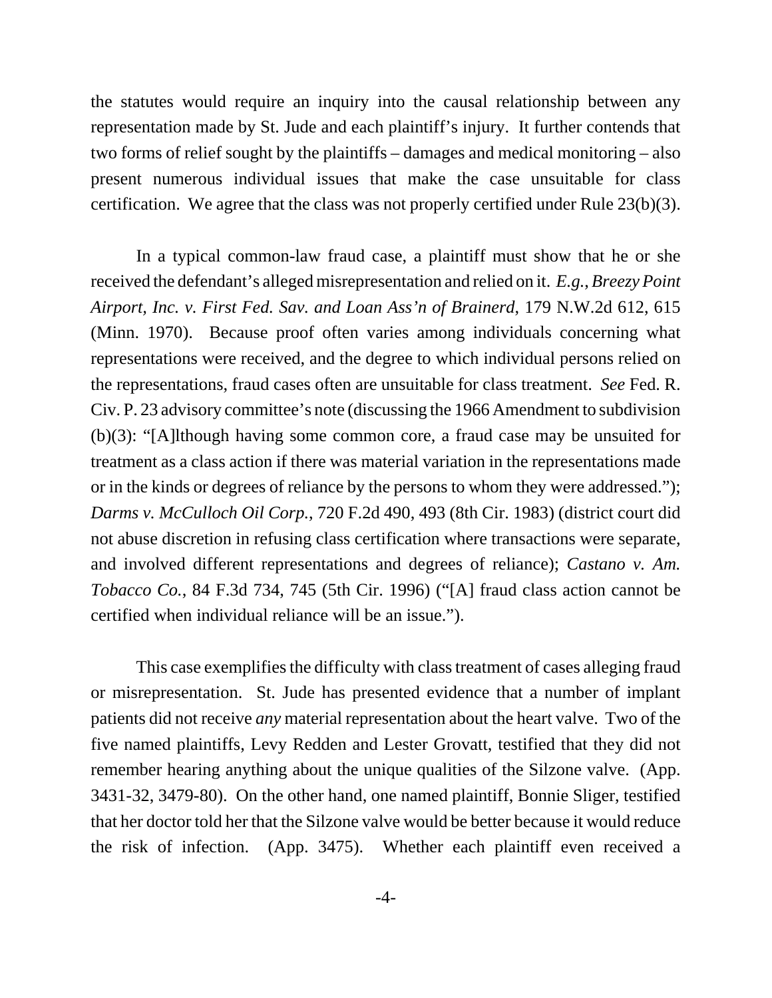the statutes would require an inquiry into the causal relationship between any representation made by St. Jude and each plaintiff's injury. It further contends that two forms of relief sought by the plaintiffs – damages and medical monitoring – also present numerous individual issues that make the case unsuitable for class certification. We agree that the class was not properly certified under Rule 23(b)(3).

In a typical common-law fraud case, a plaintiff must show that he or she received the defendant's alleged misrepresentation and relied on it. *E.g.*, *Breezy Point Airport, Inc. v. First Fed. Sav. and Loan Ass'n of Brainerd*, 179 N.W.2d 612, 615 (Minn. 1970). Because proof often varies among individuals concerning what representations were received, and the degree to which individual persons relied on the representations, fraud cases often are unsuitable for class treatment. *See* Fed. R. Civ. P. 23 advisory committee's note (discussing the 1966 Amendment to subdivision (b)(3): "[A]lthough having some common core, a fraud case may be unsuited for treatment as a class action if there was material variation in the representations made or in the kinds or degrees of reliance by the persons to whom they were addressed."); *Darms v. McCulloch Oil Corp.*, 720 F.2d 490, 493 (8th Cir. 1983) (district court did not abuse discretion in refusing class certification where transactions were separate, and involved different representations and degrees of reliance); *Castano v. Am. Tobacco Co.*, 84 F.3d 734, 745 (5th Cir. 1996) ("[A] fraud class action cannot be certified when individual reliance will be an issue.").

This case exemplifies the difficulty with class treatment of cases alleging fraud or misrepresentation. St. Jude has presented evidence that a number of implant patients did not receive *any* material representation about the heart valve. Two of the five named plaintiffs, Levy Redden and Lester Grovatt, testified that they did not remember hearing anything about the unique qualities of the Silzone valve. (App. 3431-32, 3479-80). On the other hand, one named plaintiff, Bonnie Sliger, testified that her doctor told her that the Silzone valve would be better because it would reduce the risk of infection. (App. 3475). Whether each plaintiff even received a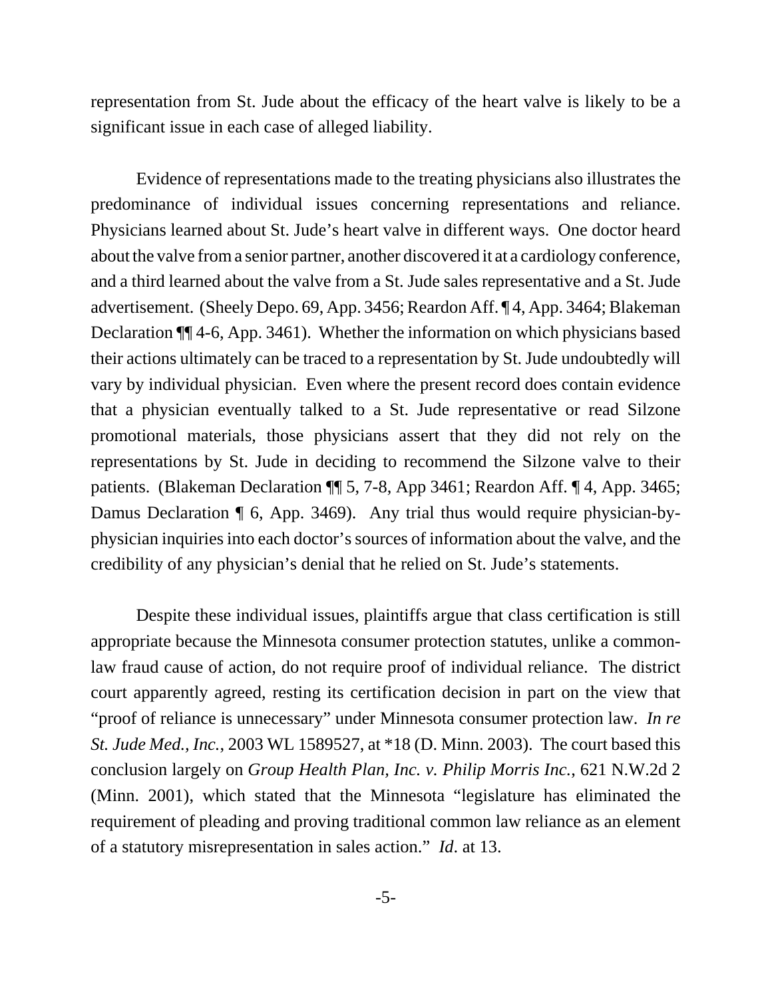representation from St. Jude about the efficacy of the heart valve is likely to be a significant issue in each case of alleged liability.

Evidence of representations made to the treating physicians also illustrates the predominance of individual issues concerning representations and reliance. Physicians learned about St. Jude's heart valve in different ways. One doctor heard about the valve from a senior partner, another discovered it at a cardiology conference, and a third learned about the valve from a St. Jude sales representative and a St. Jude advertisement. (Sheely Depo. 69, App. 3456; Reardon Aff. ¶ 4, App. 3464; Blakeman Declaration ¶¶ 4-6, App. 3461). Whether the information on which physicians based their actions ultimately can be traced to a representation by St. Jude undoubtedly will vary by individual physician. Even where the present record does contain evidence that a physician eventually talked to a St. Jude representative or read Silzone promotional materials, those physicians assert that they did not rely on the representations by St. Jude in deciding to recommend the Silzone valve to their patients. (Blakeman Declaration ¶ 5, 7-8, App 3461; Reardon Aff. ¶ 4, App. 3465; Damus Declaration ¶ 6, App. 3469). Any trial thus would require physician-byphysician inquiries into each doctor's sources of information about the valve, and the credibility of any physician's denial that he relied on St. Jude's statements.

Despite these individual issues, plaintiffs argue that class certification is still appropriate because the Minnesota consumer protection statutes, unlike a commonlaw fraud cause of action, do not require proof of individual reliance. The district court apparently agreed, resting its certification decision in part on the view that "proof of reliance is unnecessary" under Minnesota consumer protection law. *In re St. Jude Med., Inc.*, 2003 WL 1589527, at \*18 (D. Minn. 2003). The court based this conclusion largely on *Group Health Plan, Inc. v. Philip Morris Inc.*, 621 N.W.2d 2 (Minn. 2001), which stated that the Minnesota "legislature has eliminated the requirement of pleading and proving traditional common law reliance as an element of a statutory misrepresentation in sales action." *Id*. at 13.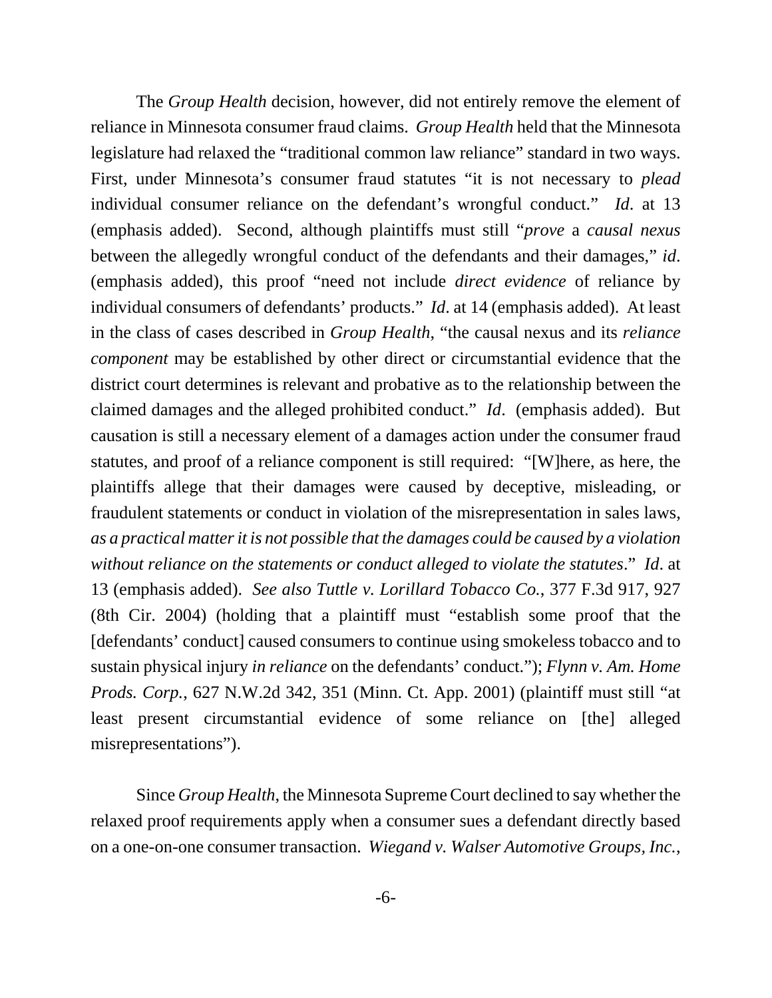The *Group Health* decision, however, did not entirely remove the element of reliance in Minnesota consumer fraud claims. *Group Health* held that the Minnesota legislature had relaxed the "traditional common law reliance" standard in two ways. First, under Minnesota's consumer fraud statutes "it is not necessary to *plead* individual consumer reliance on the defendant's wrongful conduct." *Id*. at 13 (emphasis added). Second, although plaintiffs must still "*prove* a *causal nexus* between the allegedly wrongful conduct of the defendants and their damages," *id*. (emphasis added), this proof "need not include *direct evidence* of reliance by individual consumers of defendants' products." *Id*. at 14 (emphasis added). At least in the class of cases described in *Group Health*, "the causal nexus and its *reliance component* may be established by other direct or circumstantial evidence that the district court determines is relevant and probative as to the relationship between the claimed damages and the alleged prohibited conduct." *Id*. (emphasis added). But causation is still a necessary element of a damages action under the consumer fraud statutes, and proof of a reliance component is still required: "[W]here, as here, the plaintiffs allege that their damages were caused by deceptive, misleading, or fraudulent statements or conduct in violation of the misrepresentation in sales laws, *as a practical matter it is not possible that the damages could be caused by a violation without reliance on the statements or conduct alleged to violate the statutes*." *Id*. at 13 (emphasis added). *See also Tuttle v. Lorillard Tobacco Co.*, 377 F.3d 917, 927 (8th Cir. 2004) (holding that a plaintiff must "establish some proof that the [defendants' conduct] caused consumers to continue using smokeless tobacco and to sustain physical injury *in reliance* on the defendants' conduct."); *Flynn v. Am. Home Prods. Corp.*, 627 N.W.2d 342, 351 (Minn. Ct. App. 2001) (plaintiff must still "at least present circumstantial evidence of some reliance on [the] alleged misrepresentations").

Since *Group Health*, the Minnesota Supreme Court declined to say whether the relaxed proof requirements apply when a consumer sues a defendant directly based on a one-on-one consumer transaction. *Wiegand v. Walser Automotive Groups, Inc.*,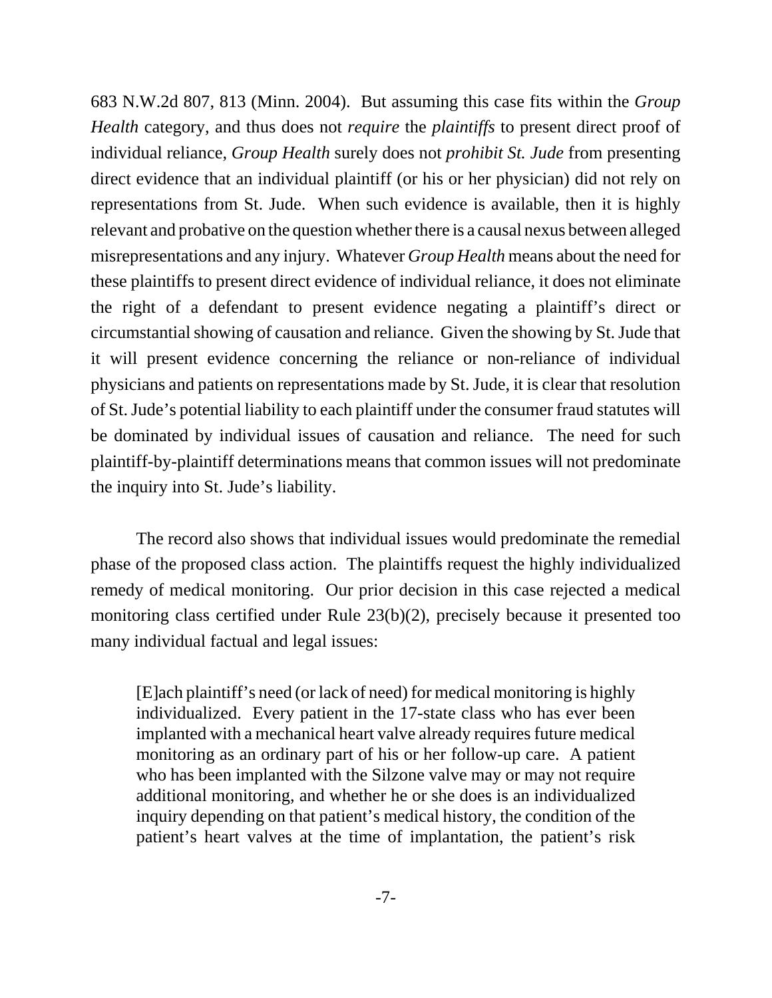683 N.W.2d 807, 813 (Minn. 2004). But assuming this case fits within the *Group Health* category, and thus does not *require* the *plaintiffs* to present direct proof of individual reliance, *Group Health* surely does not *prohibit St. Jude* from presenting direct evidence that an individual plaintiff (or his or her physician) did not rely on representations from St. Jude. When such evidence is available, then it is highly relevant and probative on the question whether there is a causal nexus between alleged misrepresentations and any injury. Whatever *Group Health* means about the need for these plaintiffs to present direct evidence of individual reliance, it does not eliminate the right of a defendant to present evidence negating a plaintiff's direct or circumstantial showing of causation and reliance. Given the showing by St. Jude that it will present evidence concerning the reliance or non-reliance of individual physicians and patients on representations made by St. Jude, it is clear that resolution of St. Jude's potential liability to each plaintiff under the consumer fraud statutes will be dominated by individual issues of causation and reliance. The need for such plaintiff-by-plaintiff determinations means that common issues will not predominate the inquiry into St. Jude's liability.

The record also shows that individual issues would predominate the remedial phase of the proposed class action. The plaintiffs request the highly individualized remedy of medical monitoring. Our prior decision in this case rejected a medical monitoring class certified under Rule 23(b)(2), precisely because it presented too many individual factual and legal issues:

[E]ach plaintiff's need (or lack of need) for medical monitoring is highly individualized. Every patient in the 17-state class who has ever been implanted with a mechanical heart valve already requires future medical monitoring as an ordinary part of his or her follow-up care. A patient who has been implanted with the Silzone valve may or may not require additional monitoring, and whether he or she does is an individualized inquiry depending on that patient's medical history, the condition of the patient's heart valves at the time of implantation, the patient's risk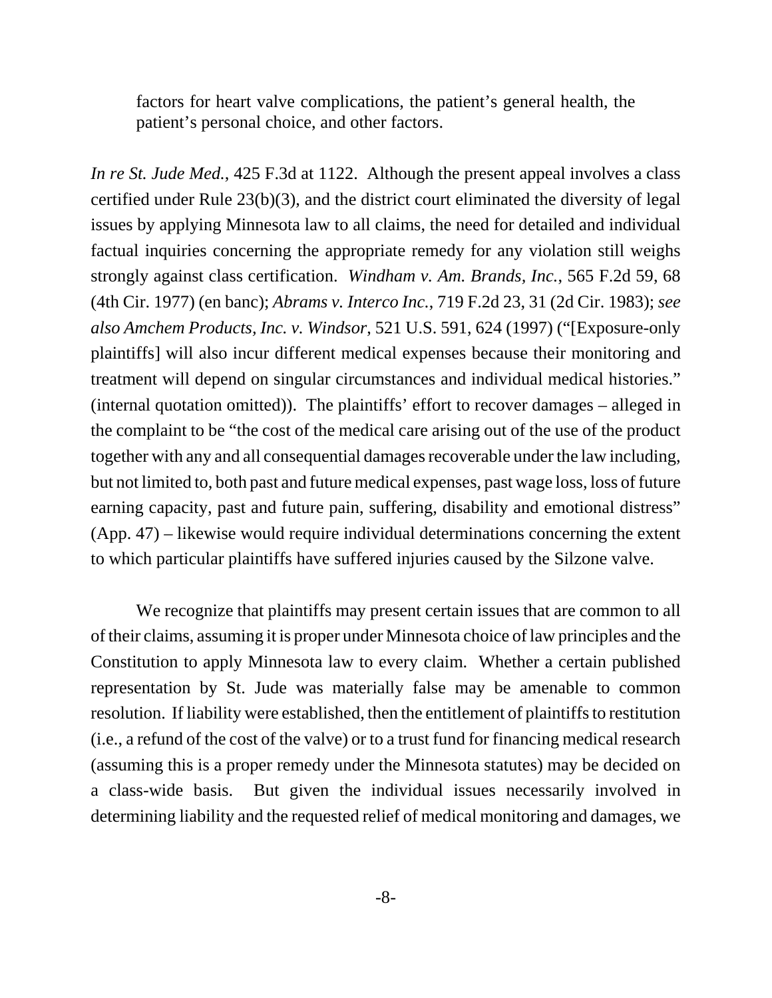factors for heart valve complications, the patient's general health, the patient's personal choice, and other factors.

*In re St. Jude Med.*, 425 F.3d at 1122. Although the present appeal involves a class certified under Rule 23(b)(3), and the district court eliminated the diversity of legal issues by applying Minnesota law to all claims, the need for detailed and individual factual inquiries concerning the appropriate remedy for any violation still weighs strongly against class certification. *Windham v. Am. Brands, Inc.*, 565 F.2d 59, 68 (4th Cir. 1977) (en banc); *Abrams v. Interco Inc.*, 719 F.2d 23, 31 (2d Cir. 1983); *see also Amchem Products, Inc. v. Windsor*, 521 U.S. 591, 624 (1997) ("[Exposure-only plaintiffs] will also incur different medical expenses because their monitoring and treatment will depend on singular circumstances and individual medical histories." (internal quotation omitted)). The plaintiffs' effort to recover damages – alleged in the complaint to be "the cost of the medical care arising out of the use of the product together with any and all consequential damages recoverable under the law including, but not limited to, both past and future medical expenses, past wage loss, loss of future earning capacity, past and future pain, suffering, disability and emotional distress" (App. 47) – likewise would require individual determinations concerning the extent to which particular plaintiffs have suffered injuries caused by the Silzone valve.

We recognize that plaintiffs may present certain issues that are common to all of their claims, assuming it is proper under Minnesota choice of law principles and the Constitution to apply Minnesota law to every claim. Whether a certain published representation by St. Jude was materially false may be amenable to common resolution. If liability were established, then the entitlement of plaintiffs to restitution (i.e., a refund of the cost of the valve) or to a trust fund for financing medical research (assuming this is a proper remedy under the Minnesota statutes) may be decided on a class-wide basis. But given the individual issues necessarily involved in determining liability and the requested relief of medical monitoring and damages, we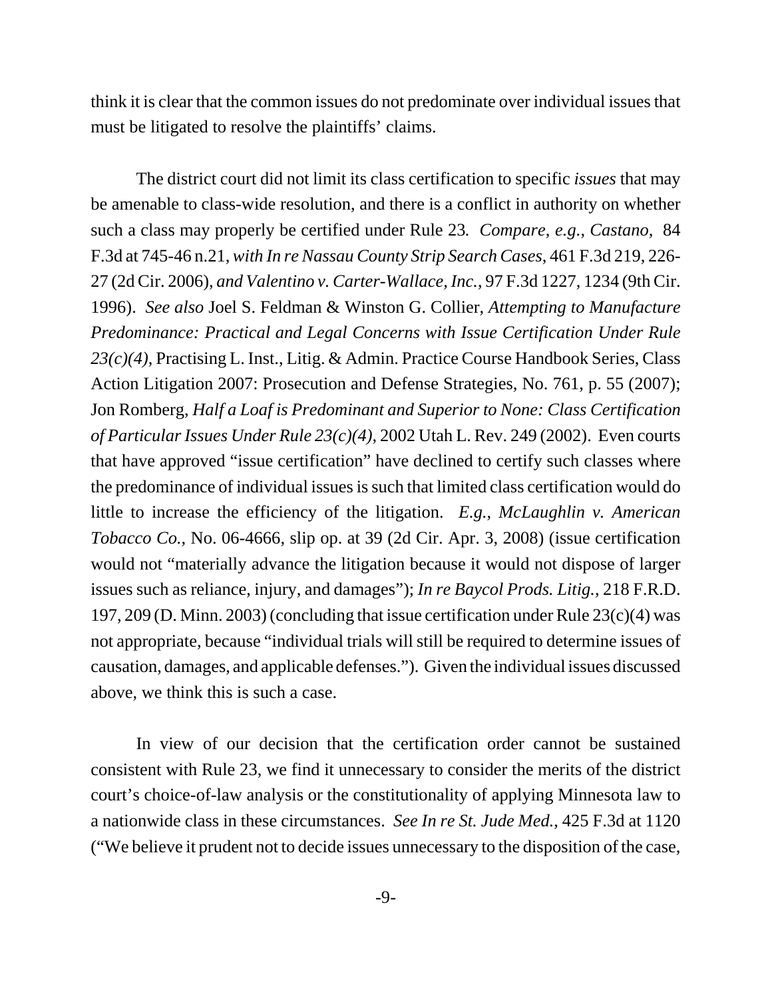think it is clear that the common issues do not predominate over individual issues that must be litigated to resolve the plaintiffs' claims.

The district court did not limit its class certification to specific *issues* that may be amenable to class-wide resolution, and there is a conflict in authority on whether such a class may properly be certified under Rule 23*. Compare*, *e.g.*, *Castano*, 84 F.3d at 745-46 n.21, *with In re Nassau County Strip Search Cases*, 461 F.3d 219, 226- 27 (2d Cir. 2006), *and Valentino v. Carter-Wallace, Inc.*, 97 F.3d 1227, 1234 (9th Cir. 1996). *See also* Joel S. Feldman & Winston G. Collier, *Attempting to Manufacture Predominance: Practical and Legal Concerns with Issue Certification Under Rule 23(c)(4)*, Practising L. Inst., Litig. & Admin. Practice Course Handbook Series, Class Action Litigation 2007: Prosecution and Defense Strategies, No. 761, p. 55 (2007); Jon Romberg, *Half a Loaf is Predominant and Superior to None: Class Certification of Particular Issues Under Rule 23(c)(4)*, 2002 Utah L. Rev. 249 (2002). Even courts that have approved "issue certification" have declined to certify such classes where the predominance of individual issues is such that limited class certification would do little to increase the efficiency of the litigation. *E.g.*, *McLaughlin v. American Tobacco Co.*, No. 06-4666, slip op. at 39 (2d Cir. Apr. 3, 2008) (issue certification would not "materially advance the litigation because it would not dispose of larger issues such as reliance, injury, and damages"); *In re Baycol Prods. Litig.*, 218 F.R.D. 197, 209 (D. Minn. 2003) (concluding that issue certification under Rule 23(c)(4) was not appropriate, because "individual trials will still be required to determine issues of causation, damages, and applicable defenses."). Given the individual issues discussed above, we think this is such a case.

In view of our decision that the certification order cannot be sustained consistent with Rule 23, we find it unnecessary to consider the merits of the district court's choice-of-law analysis or the constitutionality of applying Minnesota law to a nationwide class in these circumstances. *See In re St. Jude Med.*, 425 F.3d at 1120 ("We believe it prudent not to decide issues unnecessary to the disposition of the case,